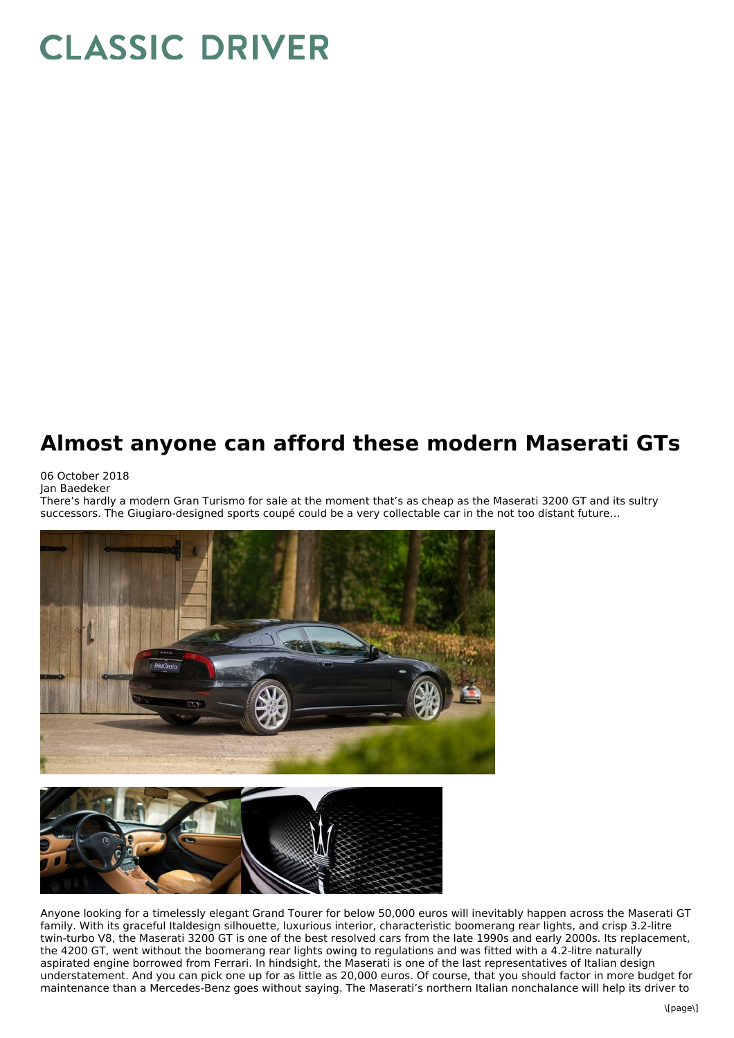## **CLASSIC DRIVER**

## **Almost anyone can afford these modern Maserati GTs**

06 October 2018 Jan Baedeker

There's hardly a modern Gran Turismo for sale at the moment that's as cheap as the Maserati 3200 GT and its sultry successors. The Giugiaro-designed sports coupé could be a very collectable car in the not too distant future…





Anyone looking for a timelessly elegant Grand Tourer for below 50,000 euros will inevitably happen across the Maserati GT family. With its graceful Italdesign silhouette, luxurious interior, characteristic boomerang rear lights, and crisp 3.2-litre twin-turbo V8, the Maserati 3200 GT is one of the best resolved cars from the late 1990s and early 2000s. Its replacement, the 4200 GT, went without the boomerang rear lights owing to regulations and was fitted with a 4.2-litre naturally aspirated engine borrowed from Ferrari. In hindsight, the Maserati is one of the last representatives of Italian design understatement. And you can pick one up for as little as 20,000 euros. Of course, that you should factor in more budget for maintenance than a Mercedes-Benz goes without saying. The Maserati's northern Italian nonchalance will help its driver to